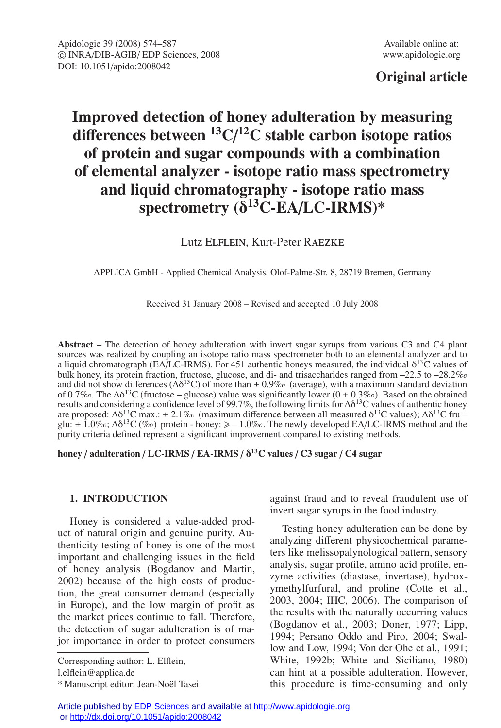## **Original article**

# **Improved detection of honey adulteration by measuring di**ff**erences between 13C**/ **12C stable carbon isotope ratios of protein and sugar compounds with a combination of elemental analyzer - isotope ratio mass spectrometry and liquid chromatography - isotope ratio mass spectrometry (**δ**13C***-***EA**/**LC-IRMS)\***

## Lutz Elflein, Kurt-Peter Raezke

APPLICA GmbH - Applied Chemical Analysis, Olof-Palme-Str. 8, 28719 Bremen, Germany

Received 31 January 2008 – Revised and accepted 10 July 2008

**Abstract** – The detection of honey adulteration with invert sugar syrups from various C3 and C4 plant sources was realized by coupling an isotope ratio mass spectrometer both to an elemental analyzer and to a liquid chromatograph (EA/LC-IRMS). For 451 authentic honeys measured, the individual  $\delta^{13}$ C values of bulk honey, its protein fraction, fructose, glucose, and di- and trisaccharides ranged from  $-22.5$  to  $-28.2\%$ and did not show differences  $(\Delta \delta^{13}C)$  of more than  $\pm 0.9\%$  (average), with a maximum standard deviation of 0.7%. The  $\Delta\delta^{13}$ C (fructose – glucose) value was significantly lower (0 ± 0.3%). Based on the obtained results and considering a confidence level of 99.7%, the following limits for  $\Delta\delta^{13}$ C values of authentic honey are proposed:  $\Delta \delta^{13}C$  max.:  $\pm 2.1\%$  (maximum difference between all measured  $\delta^{13}C$  values);  $\Delta \delta^{13}C$  fru glu:  $\pm$  1.0‰;  $\Delta\delta^{13}C$  (‰) protein - honey:  $\ge -1.0\%$ . The newly developed EA/LC-IRMS method and the purity criteria defined represent a significant improvement compared to existing methods.

**honey** / **adulteration** / **LC-IRMS** / **EA-IRMS** / δ**13C values** / **C3 sugar** / **C4 sugar**

#### **1. INTRODUCTION**

Honey is considered a value-added product of natural origin and genuine purity. Authenticity testing of honey is one of the most important and challenging issues in the field of honey analysis (Bogdanov and Martin, 2002) because of the high costs of production, the great consumer demand (especially in Europe), and the low margin of profit as the market prices continue to fall. Therefore, the detection of sugar adulteration is of major importance in order to protect consumers

Corresponding author: L. Elflein,

l.elflein@applica.de

against fraud and to reveal fraudulent use of invert sugar syrups in the food industry.

Testing honey adulteration can be done by analyzing different physicochemical parameters like melissopalynological pattern, sensory analysis, sugar profile, amino acid profile, enzyme activities (diastase, invertase), hydroxymethylfurfural, and proline (Cotte et al., 2003, 2004; IHC, 2006). The comparison of the results with the naturally occurring values (Bogdanov et al., 2003; Doner, 1977; Lipp, 1994; Persano Oddo and Piro, 2004; Swallow and Low, 1994; Von der Ohe et al., 1991; White, 1992b; White and Siciliano, 1980) can hint at a possible adulteration. However, this procedure is time-consuming and only

<sup>\*</sup> Manuscript editor: Jean-Noël Tasei

Article published by [EDP Sciences](http://www.edpsciences.org) and available at<http://www.apidologie.org> or<http://dx.doi.org/10.1051/apido:2008042>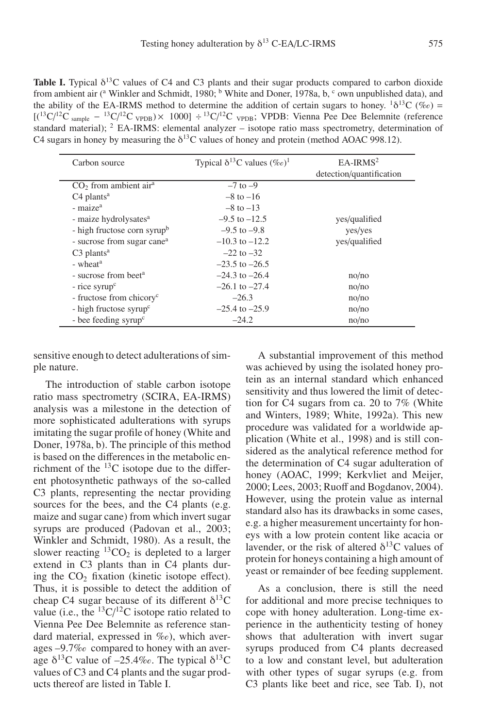**Table I.** Typical  $\delta^{13}$ C values of C4 and C3 plants and their sugar products compared to carbon dioxide from ambient air ( $\alpha$  Winkler and Schmidt, 1980;  $\beta$  White and Doner, 1978a, b,  $\gamma$  own unpublished data), and the ability of the EA-IRMS method to determine the addition of certain sugars to honey.  $1\delta^{13}C$  ( $\%$ ) =  $[(^{13}C)^{12}C_{\text{sample}} - ^{13}C)^{12}C_{\text{VPDB}}) \times (1000] \div ^{13}C/^{12}C_{\text{VPDB}}$ ; VPDB: Vienna Pee Dee Belemnite (reference standard material);  $2$  EA-IRMS: elemental analyzer – isotope ratio mass spectrometry, determination of C4 sugars in honey by measuring the  $\delta^{13}$ C values of honey and protein (method AOAC 998.12).

| Carbon source                           | Typical $\delta^{13}$ C values $(\%_0)^1$ | $EA-IRMS2$               |
|-----------------------------------------|-------------------------------------------|--------------------------|
|                                         |                                           | detection/quantification |
| $CO2$ from ambient air <sup>a</sup>     | $-7$ to $-9$                              |                          |
| $C4$ plants <sup>a</sup>                | $-8$ to $-16$                             |                          |
| - maize <sup>a</sup>                    | $-8$ to $-13$                             |                          |
| - maize hydrolysates <sup>a</sup>       | $-9.5$ to $-12.5$                         | yes/qualified            |
| - high fructose corn syrup <sup>b</sup> | $-9.5$ to $-9.8$                          | yes/yes                  |
| - sucrose from sugar cane <sup>a</sup>  | $-10.3$ to $-12.2$                        | yes/qualified            |
| $C3$ plants <sup>a</sup>                | $-22$ to $-32$                            |                          |
| - wheat <sup>a</sup>                    | $-23.5$ to $-26.5$                        |                          |
| - sucrose from beet <sup>a</sup>        | $-24.3$ to $-26.4$                        | no/no                    |
| $-$ rice syrup <sup>c</sup>             | $-26.1$ to $-27.4$                        | no/no                    |
| - fructose from chicory <sup>c</sup>    | $-26.3$                                   | no/no                    |
| - high fructose syrup <sup>c</sup>      | $-25.4$ to $-25.9$                        | no/no                    |
| - bee feeding syrup <sup>c</sup>        | $-24.2$                                   | no/no                    |

sensitive enough to detect adulterations of simple nature.

The introduction of stable carbon isotope ratio mass spectrometry (SCIRA, EA-IRMS) analysis was a milestone in the detection of more sophisticated adulterations with syrups imitating the sugar profile of honey (White and Doner, 1978a, b). The principle of this method is based on the differences in the metabolic enrichment of the  $^{13}$ C isotope due to the different photosynthetic pathways of the so-called C3 plants, representing the nectar providing sources for the bees, and the C4 plants (e.g. maize and sugar cane) from which invert sugar syrups are produced (Padovan et al., 2003; Winkler and Schmidt, 1980). As a result, the slower reacting  ${}^{13}CO_2$  is depleted to a larger extend in C3 plants than in C4 plants during the  $CO<sub>2</sub>$  fixation (kinetic isotope effect). Thus, it is possible to detect the addition of cheap C4 sugar because of its different  $\delta^{13}$ C value (i.e., the  ${}^{13}C/{}^{12}C$  isotope ratio related to Vienna Pee Dee Belemnite as reference standard material, expressed in  $\%$ o), which averages -9.7% compared to honey with an average  $\delta^{13}$ C value of -25.4‰. The typical  $\delta^{13}$ C values of C3 and C4 plants and the sugar products thereof are listed in Table I.

A substantial improvement of this method was achieved by using the isolated honey protein as an internal standard which enhanced sensitivity and thus lowered the limit of detection for C4 sugars from ca. 20 to 7% (White and Winters, 1989; White, 1992a). This new procedure was validated for a worldwide application (White et al., 1998) and is still considered as the analytical reference method for the determination of C4 sugar adulteration of honey (AOAC, 1999; Kerkvliet and Meijer, 2000; Lees, 2003; Ruoff and Bogdanov, 2004). However, using the protein value as internal standard also has its drawbacks in some cases, e.g. a higher measurement uncertainty for honeys with a low protein content like acacia or lavender, or the risk of altered  $\delta^{13}$ C values of protein for honeys containing a high amount of yeast or remainder of bee feeding supplement.

As a conclusion, there is still the need for additional and more precise techniques to cope with honey adulteration. Long-time experience in the authenticity testing of honey shows that adulteration with invert sugar syrups produced from C4 plants decreased to a low and constant level, but adulteration with other types of sugar syrups (e.g. from C3 plants like beet and rice, see Tab. I), not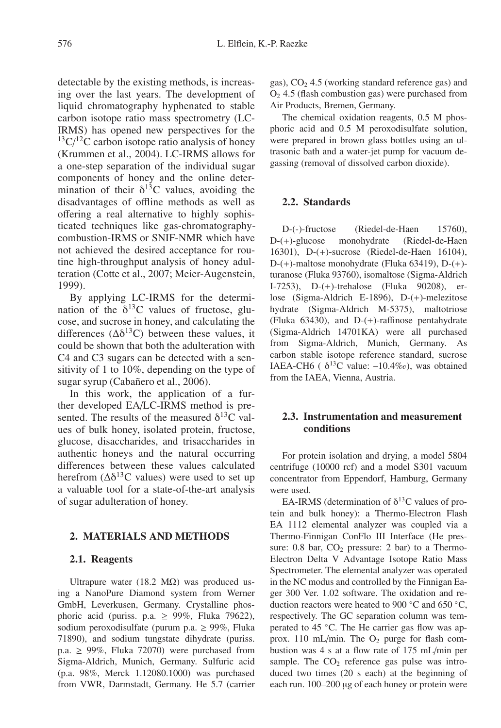detectable by the existing methods, is increasing over the last years. The development of liquid chromatography hyphenated to stable carbon isotope ratio mass spectrometry (LC-IRMS) has opened new perspectives for the  $13\text{C}/12\text{C}$  carbon isotope ratio analysis of honey (Krummen et al., 2004). LC-IRMS allows for a one-step separation of the individual sugar components of honey and the online determination of their  $\delta^{13}$ C values, avoiding the disadvantages of offline methods as well as offering a real alternative to highly sophisticated techniques like gas-chromatographycombustion-IRMS or SNIF-NMR which have not achieved the desired acceptance for routine high-throughput analysis of honey adulteration (Cotte et al., 2007; Meier-Augenstein, 1999).

By applying LC-IRMS for the determination of the  $\delta^{13}$ C values of fructose, glucose, and sucrose in honey, and calculating the differences  $(\Delta \delta^{13}C)$  between these values, it could be shown that both the adulteration with C4 and C3 sugars can be detected with a sensitivity of 1 to 10%, depending on the type of sugar syrup (Cabañero et al., 2006).

In this work, the application of a further developed EA/LC-IRMS method is presented. The results of the measured  $\delta^{13}$ C values of bulk honey, isolated protein, fructose, glucose, disaccharides, and trisaccharides in authentic honeys and the natural occurring differences between these values calculated herefrom  $(\Delta \delta^{13}C$  values) were used to set up a valuable tool for a state-of-the-art analysis of sugar adulteration of honey.

#### **2. MATERIALS AND METHODS**

#### **2.1. Reagents**

Ultrapure water (18.2 MΩ) was produced using a NanoPure Diamond system from Werner GmbH, Leverkusen, Germany. Crystalline phosphoric acid (puriss. p.a.  $\geq$  99%, Fluka 79622), sodium peroxodisulfate (purum p.a. ≥ 99%, Fluka 71890), and sodium tungstate dihydrate (puriss. p.a.  $\geq$  99%, Fluka 72070) were purchased from Sigma-Aldrich, Munich, Germany. Sulfuric acid (p.a. 98%, Merck 1.12080.1000) was purchased from VWR, Darmstadt, Germany. He 5.7 (carrier gas),  $CO<sub>2</sub> 4.5$  (working standard reference gas) and  $O<sub>2</sub>$  4.5 (flash combustion gas) were purchased from Air Products, Bremen, Germany.

The chemical oxidation reagents, 0.5 M phosphoric acid and 0.5 M peroxodisulfate solution, were prepared in brown glass bottles using an ultrasonic bath and a water-jet pump for vacuum degassing (removal of dissolved carbon dioxide).

## **2.2. Standards**

D-(-)-fructose (Riedel-de-Haen 15760), D-(+)-glucose monohydrate (Riedel-de-Haen 16301), D-(+)-sucrose (Riedel-de-Haen 16104), D-(+)-maltose monohydrate (Fluka 63419), D-(+) turanose (Fluka 93760), isomaltose (Sigma-Aldrich I-7253), D-(+)-trehalose (Fluka 90208), erlose (Sigma-Aldrich E-1896), D-(+)-melezitose hydrate (Sigma-Aldrich M-5375), maltotriose (Fluka 63430), and D-(+)-raffinose pentahydrate (Sigma-Aldrich 14701KA) were all purchased from Sigma-Aldrich, Munich, Germany. As carbon stable isotope reference standard, sucrose IAEA-CH6 ( $\delta^{13}$ C value:  $-10.4\%$ o), was obtained from the IAEA, Vienna, Austria.

#### **2.3. Instrumentation and measurement conditions**

For protein isolation and drying, a model 5804 centrifuge (10000 rcf) and a model S301 vacuum concentrator from Eppendorf, Hamburg, Germany were used.

EA-IRMS (determination of  $\delta^{13}$ C values of protein and bulk honey): a Thermo-Electron Flash EA 1112 elemental analyzer was coupled via a Thermo-Finnigan ConFlo III Interface (He pressure:  $0.8$  bar,  $CO<sub>2</sub>$  pressure: 2 bar) to a Thermo-Electron Delta V Advantage Isotope Ratio Mass Spectrometer. The elemental analyzer was operated in the NC modus and controlled by the Finnigan Eager 300 Ver. 1.02 software. The oxidation and reduction reactors were heated to 900  $°C$  and 650  $°C$ , respectively. The GC separation column was temperated to 45 ℃. The He carrier gas flow was approx. 110 mL/min. The  $O_2$  purge for flash combustion was 4 s at a flow rate of 175 mL/min per sample. The  $CO<sub>2</sub>$  reference gas pulse was introduced two times (20 s each) at the beginning of each run. 100–200 μg of each honey or protein were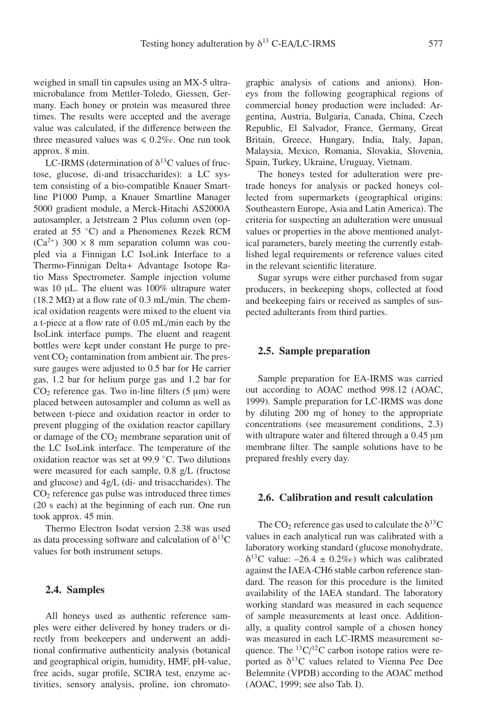weighed in small tin capsules using an MX-5 ultramicrobalance from Mettler-Toledo, Giessen, Germany. Each honey or protein was measured three times. The results were accepted and the average value was calculated, if the difference between the three measured values was  $\leq 0.2\%$ . One run took approx. 8 min.

LC-IRMS (determination of  $\delta^{13}$ C values of fructose, glucose, di-and trisaccharides): a LC system consisting of a bio-compatible Knauer Smartline P1000 Pump, a Knauer Smartline Manager 5000 gradient module, a Merck-Hitachi AS2000A autosampler, a Jetstream 2 Plus column oven (operated at 55 ◦C) and a Phenomenex Rezek RCM  $(Ca^{2+})$  300  $\times$  8 mm separation column was coupled via a Finnigan LC IsoLink Interface to a Thermo-Finnigan Delta+ Advantage Isotope Ratio Mass Spectrometer. Sample injection volume was 10 μL. The eluent was 100% ultrapure water (18.2 M $\Omega$ ) at a flow rate of 0.3 mL/min. The chemical oxidation reagents were mixed to the eluent via a t-piece at a flow rate of 0.05 mL/min each by the IsoLink interface pumps. The eluent and reagent bottles were kept under constant He purge to prevent  $CO<sub>2</sub>$  contamination from ambient air. The pressure gauges were adjusted to 0.5 bar for He carrier gas, 1.2 bar for helium purge gas and 1.2 bar for CO<sub>2</sub> reference gas. Two in-line filters  $(5 \mu m)$  were placed between autosampler and column as well as between t-piece and oxidation reactor in order to prevent plugging of the oxidation reactor capillary or damage of the  $CO<sub>2</sub>$  membrane separation unit of the LC IsoLink interface. The temperature of the oxidation reactor was set at 99.9 ◦C. Two dilutions were measured for each sample, 0.8 g/L (fructose and glucose) and 4g/L (di- and trisaccharides). The  $CO<sub>2</sub>$  reference gas pulse was introduced three times (20 s each) at the beginning of each run. One run took approx. 45 min.

Thermo Electron Isodat version 2.38 was used as data processing software and calculation of  $\delta^{13}C$ values for both instrument setups.

#### **2.4. Samples**

All honeys used as authentic reference samples were either delivered by honey traders or directly from beekeepers and underwent an additional confirmative authenticity analysis (botanical and geographical origin, humidity, HMF, pH-value, free acids, sugar profile, SCIRA test, enzyme activities, sensory analysis, proline, ion chromatographic analysis of cations and anions). Honeys from the following geographical regions of commercial honey production were included: Argentina, Austria, Bulgaria, Canada, China, Czech Republic, El Salvador, France, Germany, Great Britain, Greece, Hungary, India, Italy, Japan, Malaysia, Mexico, Romania, Slovakia, Slovenia, Spain, Turkey, Ukraine, Uruguay, Vietnam.

The honeys tested for adulteration were pretrade honeys for analysis or packed honeys collected from supermarkets (geographical origins: Southeastern Europe, Asia and Latin America). The criteria for suspecting an adulteration were unusual values or properties in the above mentioned analytical parameters, barely meeting the currently established legal requirements or reference values cited in the relevant scientific literature.

Sugar syrups were either purchased from sugar producers, in beekeeping shops, collected at food and beekeeping fairs or received as samples of suspected adulterants from third parties.

#### **2.5. Sample preparation**

Sample preparation for EA-IRMS was carried out according to AOAC method 998.12 (AOAC, 1999). Sample preparation for LC-IRMS was done by diluting 200 mg of honey to the appropriate concentrations (see measurement conditions, 2.3) with ultrapure water and filtered through a 0.45 μm membrane filter. The sample solutions have to be prepared freshly every day.

#### **2.6. Calibration and result calculation**

The CO<sub>2</sub> reference gas used to calculate the  $\delta^{13}$ C values in each analytical run was calibrated with a laboratory working standard (glucose monohydrate,  $\delta^{13}$ C value:  $-26.4 \pm 0.2\%$  which was calibrated against the IAEA-CH6 stable carbon reference standard. The reason for this procedure is the limited availability of the IAEA standard. The laboratory working standard was measured in each sequence of sample measurements at least once. Additionally, a quality control sample of a chosen honey was measured in each LC-IRMS measurement sequence. The  ${}^{13}C/{}^{12}C$  carbon isotope ratios were reported as  $\delta^{13}$ C values related to Vienna Pee Dee Belemnite (VPDB) according to the AOAC method (AOAC, 1999; see also Tab. I).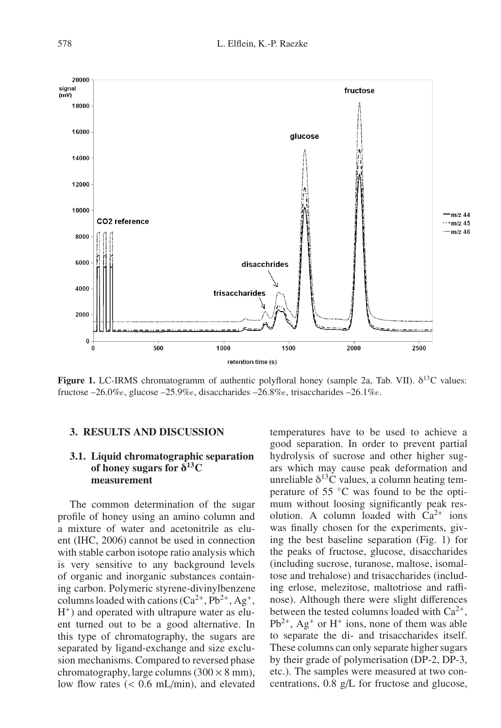

**Figure 1.** LC-IRMS chromatogramm of authentic polyfloral honey (sample 2a, Tab. VII). δ13C values: fructose –26.0‰, glucose –25.9‰, disaccharides –26.8‰, trisaccharides –26.1‰.

#### **3. RESULTS AND DISCUSSION**

### **3.1. Liquid chromatographic separation of honey sugars for** δ**13C measurement**

The common determination of the sugar profile of honey using an amino column and a mixture of water and acetonitrile as eluent (IHC, 2006) cannot be used in connection with stable carbon isotope ratio analysis which is very sensitive to any background levels of organic and inorganic substances containing carbon. Polymeric styrene-divinylbenzene columns loaded with cations  $(Ca^{2+}, Pb^{2+}, Ag^+,$  $H^+$ ) and operated with ultrapure water as eluent turned out to be a good alternative. In this type of chromatography, the sugars are separated by ligand-exchange and size exclusion mechanisms. Compared to reversed phase chromatography, large columns  $(300 \times 8 \text{ mm})$ , low flow rates (< 0.6 mL/min), and elevated

temperatures have to be used to achieve a good separation. In order to prevent partial hydrolysis of sucrose and other higher sugars which may cause peak deformation and unreliable  $\delta^{13}$ C values, a column heating temperature of 55 ◦C was found to be the optimum without loosing significantly peak resolution. A column loaded with  $Ca^{2+}$  ions was finally chosen for the experiments, giving the best baseline separation (Fig. 1) for the peaks of fructose, glucose, disaccharides (including sucrose, turanose, maltose, isomaltose and trehalose) and trisaccharides (including erlose, melezitose, maltotriose and raffinose). Although there were slight differences between the tested columns loaded with  $Ca^{2+}$ ,  $Pb^{2+}$ , Ag<sup>+</sup> or H<sup>+</sup> ions, none of them was able to separate the di- and trisaccharides itself. These columns can only separate higher sugars by their grade of polymerisation (DP-2, DP-3, etc.). The samples were measured at two concentrations, 0.8 g/L for fructose and glucose,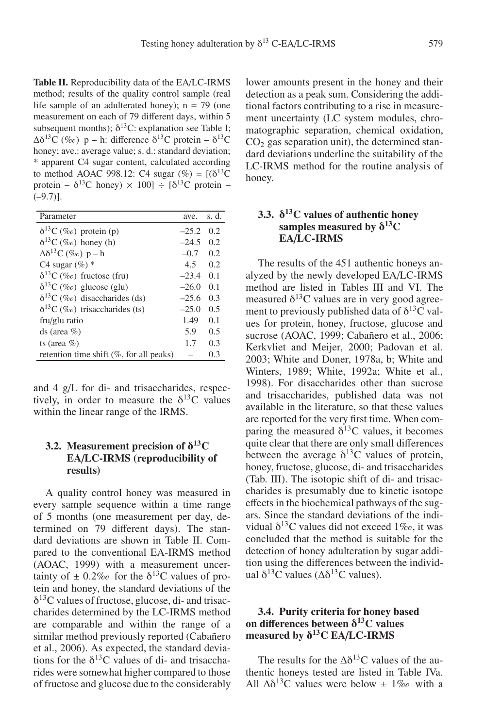**Table II.** Reproducibility data of the EA/LC-IRMS method; results of the quality control sample (real life sample of an adulterated honey);  $n = 79$  (one measurement on each of 79 different days, within 5 subsequent months);  $\delta^{13}$ C: explanation see Table I;  $\Delta\delta^{13}C$  (‰) p – h: difference  $\delta^{13}C$  protein –  $\delta^{13}C$ honey; ave.: average value; s. d.: standard deviation; \* apparent C4 sugar content, calculated according to method AOAC 998.12: C4 sugar  $(\% ) = [(\delta^{13}C$ protein –  $\delta^{13}$ C honey)  $\times$  100] ÷ [ $\delta^{13}$ C protein –  $(-9.7)$ ].

| Parameter                                   | ave.    | s. d. |
|---------------------------------------------|---------|-------|
| $\delta^{13}C$ (%o) protein (p)             | $-25.2$ | 0.2   |
| $\delta^{13}C$ (%e) honey (h)               | $-24.5$ | 0.2   |
| $\Delta\delta^{13}C$ (%e) p – h             | $-0.7$  | 0.2   |
| C4 sugar $(\%)$ *                           | 4.5     | 0.2   |
| $\delta^{13}C$ (%e) fructose (fru)          | $-23.4$ | 0.1   |
| $\delta^{13}C$ (%o) glucose (glu)           | $-26.0$ | 0.1   |
| $\delta^{13}C$ (%e) disaccharides (ds)      | $-25.6$ | 0.3   |
| $\delta^{13}C$ (%e) trisaccharides (ts)     | $-25.0$ | 0.5   |
| fru/glu ratio                               | 1.49    | 0.1   |
| ds (area $%$ )                              | 5.9     | 0.5   |
| ts (area $%$ )                              | 1.7     | 0.3   |
| retention time shift $(\%$ , for all peaks) |         | 0.3   |

and 4 g/L for di- and trisaccharides, respectively, in order to measure the  $\delta^{13}$ C values within the linear range of the IRMS.

## **3.2. Measurement precision of** δ**13C EA**/**LC-IRMS (reproducibility of results)**

A quality control honey was measured in every sample sequence within a time range of 5 months (one measurement per day, determined on 79 different days). The standard deviations are shown in Table II. Compared to the conventional EA-IRMS method (AOAC, 1999) with a measurement uncertainty of  $\pm 0.2\%$  for the  $\delta^{13}$ C values of protein and honey, the standard deviations of the  $\delta^{13}$ C values of fructose, glucose, di- and trisaccharides determined by the LC-IRMS method are comparable and within the range of a similar method previously reported (Cabañero et al., 2006). As expected, the standard deviations for the  $\delta^{13}$ C values of di- and trisaccharides were somewhat higher compared to those of fructose and glucose due to the considerably lower amounts present in the honey and their detection as a peak sum. Considering the additional factors contributing to a rise in measurement uncertainty (LC system modules, chromatographic separation, chemical oxidation,  $CO<sub>2</sub>$  gas separation unit), the determined standard deviations underline the suitability of the LC-IRMS method for the routine analysis of honey.

## **3.3.** δ**13C values of authentic honey samples measured by** δ**13C EA**/**LC-IRMS**

The results of the 451 authentic honeys analyzed by the newly developed EA/LC-IRMS method are listed in Tables III and VI. The measured  $\delta^{13}$ C values are in very good agreement to previously published data of  $\delta^{13}$ C values for protein, honey, fructose, glucose and sucrose (AOAC, 1999; Cabañero et al., 2006; Kerkvliet and Meijer, 2000; Padovan et al. 2003; White and Doner, 1978a, b; White and Winters, 1989; White, 1992a; White et al., 1998). For disaccharides other than sucrose and trisaccharides, published data was not available in the literature, so that these values are reported for the very first time. When comparing the measured  $\delta^{13}$ C values, it becomes quite clear that there are only small differences between the average  $\delta^{13}$ C values of protein, honey, fructose, glucose, di- and trisaccharides (Tab. III). The isotopic shift of di- and trisaccharides is presumably due to kinetic isotope effects in the biochemical pathways of the sugars. Since the standard deviations of the individual  $\delta^{13}$ C values did not exceed 1‰, it was concluded that the method is suitable for the detection of honey adulteration by sugar addition using the differences between the individual  $\delta^{13}$ C values ( $\Delta \delta^{13}$ C values).

### **3.4. Purity criteria for honey based on di**ff**erences between** δ**13C values measured by** δ**13C EA**/**LC-IRMS**

The results for the  $\Delta\delta^{13}$ C values of the authentic honeys tested are listed in Table IVa. All  $\Delta\delta^{13}$ C values were below  $\pm$  1\% with a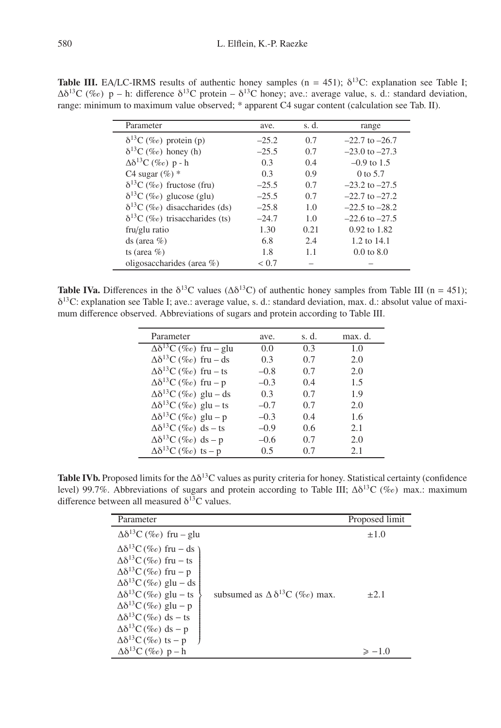**Table III.** EA/LC-IRMS results of authentic honey samples ( $n = 451$ );  $\delta^{13}$ C: explanation see Table I;  $\Delta\delta^{13}C$  (% $\epsilon$ ) p – h: difference  $\delta^{13}C$  protein –  $\delta^{13}C$  honey; ave.: average value, s. d.: standard deviation, range: minimum to maximum value observed; \* apparent C4 sugar content (calculation see Tab. II).

| Parameter                               | ave.    | s. d. | range                 |
|-----------------------------------------|---------|-------|-----------------------|
| $\delta^{13}C$ (%o) protein (p)         | $-25.2$ | 0.7   | $-22.7$ to $-26.7$    |
| $\delta^{13}C$ (%e) honey (h)           | $-25.5$ | 0.7   | $-23.0$ to $-27.3$    |
| $\Delta\delta^{13}C$ (%o) p - h         | 0.3     | 0.4   | $-0.9$ to 1.5         |
| C4 sugar $(\%)$ *                       | 0.3     | 0.9   | $0$ to 5.7            |
| $\delta^{13}C$ (%e) fructose (fru)      | $-25.5$ | 0.7   | $-23.2$ to $-27.5$    |
| $\delta^{13}C$ (%e) glucose (glu)       | $-25.5$ | 0.7   | $-22.7$ to $-27.2$    |
| $\delta^{13}C$ (%e) disaccharides (ds)  | $-25.8$ | 1.0   | $-22.5$ to $-28.2$    |
| $\delta^{13}C$ (%e) trisaccharides (ts) | $-24.7$ | 1.0   | $-22.6$ to $-27.5$    |
| fru/glu ratio                           | 1.30    | 0.21  | $0.92$ to $1.82$      |
| ds (area $%$ )                          | 6.8     | 2.4   | 1.2 to 14.1           |
| ts (area $%$ )                          | 1.8     | 1.1   | $0.0 \text{ to } 8.0$ |
| oligosaccharides (area $\%$ )           | < 0.7   |       |                       |

**Table IVa.** Differences in the  $\delta^{13}C$  values ( $\Delta \delta^{13}C$ ) of authentic honey samples from Table III (n = 451); δ13C: explanation see Table I; ave.: average value, s. d.: standard deviation, max. d.: absolut value of maximum difference observed. Abbreviations of sugars and protein according to Table III.

| Parameter                                                  | ave.   | s. d. | max. d. |
|------------------------------------------------------------|--------|-------|---------|
| $\overline{\Delta \delta^{13}C\left(\%o\right)}$ fru – glu | 0.0    | 0.3   | 1.0     |
| $\Delta\delta^{13}C$ (%e) fru – ds                         | 0.3    | 0.7   | 2.0     |
| $\Delta\delta^{13}C$ (%o) fru – ts                         | $-0.8$ | 0.7   | 2.0     |
| $\Delta\delta^{13}C$ (%o) fru – p                          | $-0.3$ | 0.4   | 1.5     |
| $\Delta\delta^{13}C$ (%e) glu – ds                         | 0.3    | 0.7   | 1.9     |
| $\Delta\delta^{13}C$ (%o) glu – ts                         | $-0.7$ | 0.7   | 2.0     |
| $\Delta\delta^{13}C$ (%o) glu – p                          | $-0.3$ | 0.4   | 1.6     |
| $\Delta\delta^{13}C$ (%e) ds – ts                          | $-0.9$ | 0.6   | 2.1     |
| $\Delta\delta^{13}C$ (%e) ds - p                           | $-0.6$ | 0.7   | 2.0     |
| $\Delta\delta^{13}C$ (%e) ts – p                           | 0.5    | 0.7   | 2.1     |

**Table IVb.** Proposed limits for the  $\Delta\delta^{13}C$  values as purity criteria for honey. Statistical certainty (confidence level) 99.7%. Abbreviations of sugars and protein according to Table III;  $\Delta\delta^{13}C$  (‰) max.: maximum difference between all measured  $\delta^{13}$ C values.

| Parameter                                                                                                                                                                                                                                                                                                                                       |                                            | Proposed limit |
|-------------------------------------------------------------------------------------------------------------------------------------------------------------------------------------------------------------------------------------------------------------------------------------------------------------------------------------------------|--------------------------------------------|----------------|
| $\Delta\delta^{13}C$ (%o) fru – glu                                                                                                                                                                                                                                                                                                             |                                            | $\pm 1.0$      |
| $\Delta\delta^{13}C$ (%e) fru – ds )<br>$\Delta\delta^{13}C$ (%o) fru – ts<br>$\Delta\delta^{13}C$ (%o) fru – p<br>$\Delta\delta^{13}C$ (%e) glu – ds<br>$\Delta\delta^{13}C(\%$ o) glu – ts<br>$\Delta\delta^{13}C(\%$ o) glu – p<br>$\Delta\delta^{13}C$ (%e) ds – ts<br>$\Delta\delta^{13}C$ (%e) ds – p<br>$\Delta\delta^{13}C$ (%e) ts – p | subsumed as $\Delta \delta^{13}C$ (‰) max. | $+2.1$         |
| $\Delta\delta^{13}C$ (%o) p – h                                                                                                                                                                                                                                                                                                                 |                                            | $\ge -1$ ()    |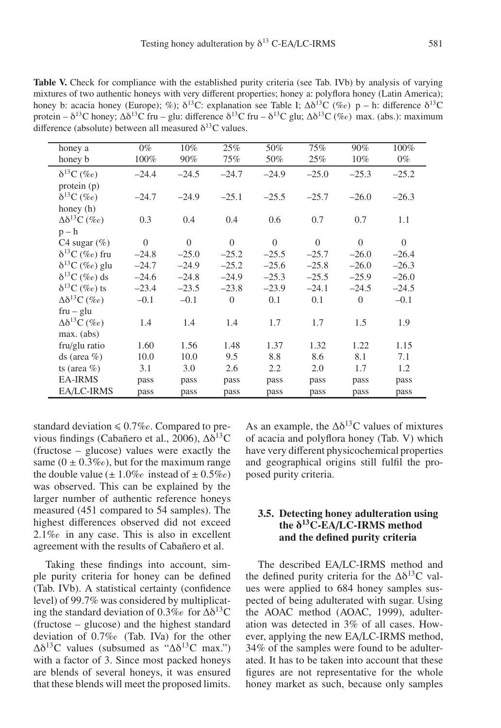**Table V.** Check for compliance with the established purity criteria (see Tab. IVb) by analysis of varying mixtures of two authentic honeys with very different properties; honey a: polyflora honey (Latin America); honey b: acacia honey (Europe); %);  $\delta^{13}C$ : explanation see Table I;  $\Delta \delta^{13}C$  (‰) p – h: difference  $\delta^{13}C$ protein –  $\delta^{13}$ C honey; Δ $\delta^{13}$ C fru – glu: difference  $\delta^{13}$ C fru –  $\delta^{13}$ C glu; Δ $\delta^{13}$ C (‰) max. (abs.): maximum difference (absolute) between all measured  $\delta^{13}$ C values.

|                             | $0\%$          |                |                |                |                |                |                |
|-----------------------------|----------------|----------------|----------------|----------------|----------------|----------------|----------------|
| honey a                     |                | 10%            | 25%            | 50%            | 75%            | 90%            | 100%           |
| honey b                     | 100%           | 90%            | 75%            | 50%            | 25%            | 10%            | $0\%$          |
| $\delta^{13}C$ (%o)         | $-24.4$        | $-24.5$        | $-24.7$        | $-24.9$        | $-25.0$        | $-25.3$        | $-25.2$        |
| protein (p)                 |                |                |                |                |                |                |                |
| $\delta^{13}C$ (%o)         | $-24.7$        | $-24.9$        | $-25.1$        | $-25.5$        | $-25.7$        | $-26.0$        | $-26.3$        |
| honey (h)                   |                |                |                |                |                |                |                |
| $\Delta\delta^{13}C$ (%o)   | 0.3            | 0.4            | 0.4            | 0.6            | 0.7            | 0.7            | 1.1            |
| $p - h$                     |                |                |                |                |                |                |                |
| C <sub>4</sub> sugar $(\%)$ | $\overline{0}$ | $\overline{0}$ | $\overline{0}$ | $\overline{0}$ | $\overline{0}$ | $\overline{0}$ | $\overline{0}$ |
| $\delta^{13}C$ (%o) fru     | $-24.8$        | $-25.0$        | $-25.2$        | $-25.5$        | $-25.7$        | $-26.0$        | $-26.4$        |
| $\delta^{13}C$ (%o) glu     | $-24.7$        | $-24.9$        | $-25.2$        | $-25.6$        | $-25.8$        | $-26.0$        | $-26.3$        |
| $\delta^{13}C$ (%e) ds      | $-24.6$        | $-24.8$        | $-24.9$        | $-25.3$        | $-25.5$        | $-25.9$        | $-26.0$        |
| $\delta^{13}C$ (‰) ts       | $-23.4$        | $-23.5$        | $-23.8$        | $-23.9$        | $-24.1$        | $-24.5$        | $-24.5$        |
| $\Delta\delta^{13}C$ (%o)   | $-0.1$         | $-0.1$         | $\overline{0}$ | 0.1            | 0.1            | $\Omega$       | $-0.1$         |
| $fru - glu$                 |                |                |                |                |                |                |                |
| $\Delta\delta^{13}C$ (%o)   | 1.4            | 1.4            | 1.4            | 1.7            | 1.7            | 1.5            | 1.9            |
| max. (abs)                  |                |                |                |                |                |                |                |
| fru/glu ratio               | 1.60           | 1.56           | 1.48           | 1.37           | 1.32           | 1.22           | 1.15           |
| ds (area $%$ )              | 10.0           | 10.0           | 9.5            | 8.8            | 8.6            | 8.1            | 7.1            |
| ts (area $%$ )              | 3.1            | 3.0            | 2.6            | 2.2            | 2.0            | 1.7            | 1.2            |
| <b>EA-IRMS</b>              | pass           | pass           | pass           | pass           | pass           | pass           | pass           |
| EA/LC-IRMS                  | pass           | pass           | pass           | pass           | pass           | pass           | pass           |

standard deviation  $\leq 0.7\%$ o. Compared to previous findings (Cabañero et al., 2006),  $Δδ<sup>13</sup>C$ (fructose – glucose) values were exactly the same  $(0 \pm 0.3\%)$ , but for the maximum range the double value  $(\pm 1.0\%$  instead of  $\pm 0.5\%$ ) was observed. This can be explained by the larger number of authentic reference honeys measured (451 compared to 54 samples). The highest differences observed did not exceed 2.1\% in any case. This is also in excellent agreement with the results of Cabañero et al.

Taking these findings into account, simple purity criteria for honey can be defined (Tab. IVb). A statistical certainty (confidence level) of 99.7% was considered by multiplicating the standard deviation of 0.3‰ for  $\Delta\delta^{13}C$ (fructose – glucose) and the highest standard deviation of 0.7‰ (Tab. IVa) for the other  $\Delta\delta^{13}$ C values (subsumed as " $\Delta\delta^{13}$ C max.") with a factor of 3. Since most packed honeys are blends of several honeys, it was ensured that these blends will meet the proposed limits. As an example, the  $\Delta\delta^{13}$ C values of mixtures of acacia and polyflora honey (Tab. V) which have very different physicochemical properties and geographical origins still fulfil the proposed purity criteria.

## **3.5. Detecting honey adulteration using the** δ**13C-EA**/**LC-IRMS method and the defined purity criteria**

The described EA/LC-IRMS method and the defined purity criteria for the  $\Delta\delta^{13}$ C values were applied to 684 honey samples suspected of being adulterated with sugar. Using the AOAC method (AOAC, 1999), adulteration was detected in 3% of all cases. However, applying the new EA/LC-IRMS method, 34% of the samples were found to be adulterated. It has to be taken into account that these figures are not representative for the whole honey market as such, because only samples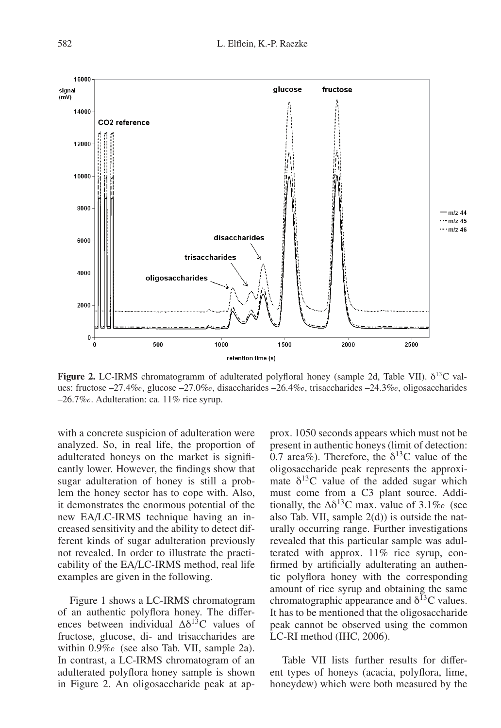

**Figure 2.** LC-IRMS chromatogramm of adulterated polyfloral honey (sample 2d, Table VII). δ13C values: fructose –27.4‰, glucose –27.0‰, disaccharides –26.4‰, trisaccharides –24.3‰, oligosaccharides -26.7‰. Adulteration: ca. 11% rice syrup.

with a concrete suspicion of adulteration were analyzed. So, in real life, the proportion of adulterated honeys on the market is significantly lower. However, the findings show that sugar adulteration of honey is still a problem the honey sector has to cope with. Also, it demonstrates the enormous potential of the new EA/LC-IRMS technique having an increased sensitivity and the ability to detect different kinds of sugar adulteration previously not revealed. In order to illustrate the practicability of the EA/LC-IRMS method, real life examples are given in the following.

Figure 1 shows a LC-IRMS chromatogram of an authentic polyflora honey. The differences between individual  $\Delta\delta^{13}$ C values of fructose, glucose, di- and trisaccharides are within 0.9% (see also Tab. VII, sample 2a). In contrast, a LC-IRMS chromatogram of an adulterated polyflora honey sample is shown in Figure 2. An oligosaccharide peak at ap-

prox. 1050 seconds appears which must not be present in authentic honeys (limit of detection: 0.7 area%). Therefore, the  $\delta^{13}$ C value of the oligosaccharide peak represents the approximate  $\delta^{13}$ C value of the added sugar which must come from a C3 plant source. Additionally, the  $\Delta\delta^{13}$ C max. value of 3.1‰ (see also Tab. VII, sample  $2(d)$ ) is outside the naturally occurring range. Further investigations revealed that this particular sample was adulterated with approx. 11% rice syrup, confirmed by artificially adulterating an authentic polyflora honey with the corresponding amount of rice syrup and obtaining the same chromatographic appearance and  $\delta^{13}$ C values. It has to be mentioned that the oligosaccharide peak cannot be observed using the common LC-RI method (IHC, 2006).

Table VII lists further results for different types of honeys (acacia, polyflora, lime, honeydew) which were both measured by the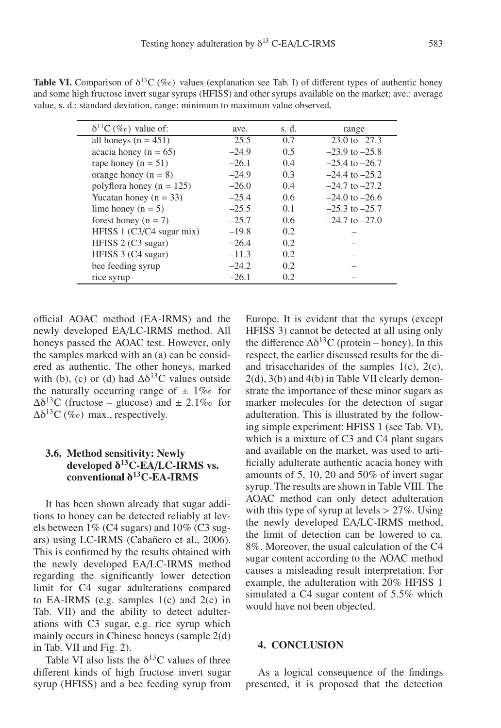| $\delta^{13}C$ (%e) value of: | ave.    | s. d.         | range              |
|-------------------------------|---------|---------------|--------------------|
| all honeys $(n = 451)$        | $-25.5$ | 0.7           | $-23.0$ to $-27.3$ |
| acacia honey ( $n = 65$ )     | $-24.9$ | 0.5           | $-23.9$ to $-25.8$ |
| rape honey ( $n = 51$ )       | $-26.1$ | 0.4           | $-25.4$ to $-26.7$ |
| orange honey $(n = 8)$        | $-24.9$ | 0.3           | $-24.4$ to $-25.2$ |
| polyflora honey ( $n = 125$ ) | $-26.0$ | 0.4           | $-24.7$ to $-27.2$ |
| Yucatan honey ( $n = 33$ )    | $-25.4$ | $0.6^{\circ}$ | $-24.0$ to $-26.6$ |
| lime honey ( $n = 5$ )        | $-25.5$ | 0.1           | $-25.3$ to $-25.7$ |
| forest honey $(n = 7)$        | $-25.7$ | $0.6^{\circ}$ | $-24.7$ to $-27.0$ |
| HFISS $1$ (C3/C4 sugar mix)   | $-19.8$ | 0.2           |                    |
| HFISS 2 (C3 sugar)            | $-26.4$ | 0.2           |                    |

rice syrup  $-26.1$  0.2  $-$ 

HFISS 3 (C4 sugar)  $-11.3$  0.2 bee feeding syrup  $-24.2$  0.2

**Table VI.** Comparison of  $\delta^{13}C$  (% $\epsilon$ ) values (explanation see Tab. I) of different types of authentic honey and some high fructose invert sugar syrups (HFISS) and other syrups available on the market; ave.: average value, s. d.: standard deviation, range: minimum to maximum value observed.

official AOAC method (EA-IRMS) and the newly developed EA/LC-IRMS method. All honeys passed the AOAC test. However, only the samples marked with an (a) can be considered as authentic. The other honeys, marked with (b), (c) or (d) had  $\Delta\delta^{13}$ C values outside the naturally occurring range of  $\pm 1\%$  for  $\Delta\delta^{13}$ C (fructose – glucose) and  $\pm 2.1\%$  for  $\Delta\delta^{13}C$  (%o) max., respectively.

## **3.6. Method sensitivity: Newly developed** δ**13C-EA**/**LC-IRMS vs. conventional** δ**13C-EA-IRMS**

It has been shown already that sugar additions to honey can be detected reliably at levels between 1% (C4 sugars) and 10% (C3 sugars) using LC-IRMS (Cabañero et al., 2006). This is confirmed by the results obtained with the newly developed EA/LC-IRMS method regarding the significantly lower detection limit for C4 sugar adulterations compared to EA-IRMS (e.g. samples  $1(c)$  and  $2(c)$  in Tab. VII) and the ability to detect adulterations with C3 sugar, e.g. rice syrup which mainly occurs in Chinese honeys (sample 2(d) in Tab. VII and Fig. 2).

Table VI also lists the  $\delta^{13}$ C values of three different kinds of high fructose invert sugar syrup (HFISS) and a bee feeding syrup from Europe. It is evident that the syrups (except HFISS 3) cannot be detected at all using only the difference  $\Delta \delta^{13}$ C (protein – honey). In this respect, the earlier discussed results for the diand trisaccharides of the samples 1(c), 2(c), 2(d), 3(b) and 4(b) in Table VII clearly demonstrate the importance of these minor sugars as marker molecules for the detection of sugar adulteration. This is illustrated by the following simple experiment: HFISS 1 (see Tab. VI), which is a mixture of C3 and C4 plant sugars and available on the market, was used to artificially adulterate authentic acacia honey with amounts of 5, 10, 20 and 50% of invert sugar syrup. The results are shown in Table VIII. The AOAC method can only detect adulteration with this type of syrup at levels  $> 27\%$ . Using the newly developed EA/LC-IRMS method, the limit of detection can be lowered to ca. 8%. Moreover, the usual calculation of the C4 sugar content according to the AOAC method causes a misleading result interpretation. For example, the adulteration with 20% HFISS 1 simulated a C4 sugar content of 5.5% which would have not been objected.

#### **4. CONCLUSION**

As a logical consequence of the findings presented, it is proposed that the detection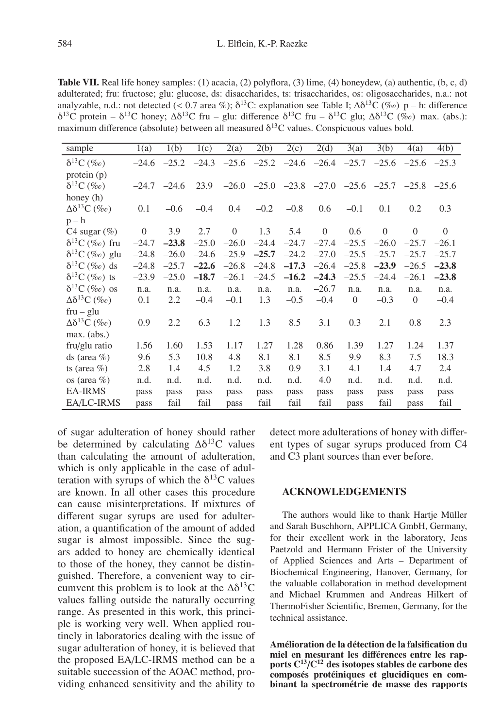**Table VII.** Real life honey samples: (1) acacia, (2) polyflora, (3) lime, (4) honeydew, (a) authentic, (b, c, d) adulterated; fru: fructose; glu: glucose, ds: disaccharides, ts: trisaccharides, os: oligosaccharides, n.a.: not analyzable, n.d.: not detected (< 0.7 area %);  $\delta^{13}C$ : explanation see Table I;  $\Delta \delta^{13}C$  (% $\epsilon$ ) p – h: difference  $\delta^{13}$ C protein –  $\delta^{13}$ C honey;  $\Delta \delta^{13}$ C fru – glu: difference  $\delta^{13}$ C fru –  $\delta^{13}$ C glu;  $\Delta \delta^{13}$ C (‰) max. (abs.): maximum difference (absolute) between all measured  $\delta^{13}$ C values. Conspicuous values bold.

| sample                      | 1(a)     | 1(b)          | 1(c)    | $\overline{2}$ (a) | 2(b)    | 2(c)                    | 2(d)                                                            | $\overline{3}(a)$ | 3(b)     | 4(a)           | 4(b)     |
|-----------------------------|----------|---------------|---------|--------------------|---------|-------------------------|-----------------------------------------------------------------|-------------------|----------|----------------|----------|
| $\delta^{13}C$ (%e)         | $-24.6$  | $-25.2$       | $-24.3$ | $-25.6$            |         | $-25.2$ $-24.6$ $-26.4$ |                                                                 | $-25.7$           | $-25.6$  | $-25.6$        | $-25.3$  |
| protein $(p)$               |          |               |         |                    |         |                         |                                                                 |                   |          |                |          |
| $\delta^{13}C$ (%e)         |          | $-24.7 -24.6$ | 23.9    |                    |         |                         | $-26.0$ $-25.0$ $-23.8$ $-27.0$ $-25.6$ $-25.7$ $-25.8$ $-25.6$ |                   |          |                |          |
| honey (h)                   |          |               |         |                    |         |                         |                                                                 |                   |          |                |          |
| $\Delta\delta^{13}C$ (%e)   | 0.1      | $-0.6$        | $-0.4$  | 0.4                | $-0.2$  | $-0.8$                  | 0.6                                                             | $-0.1$            | 0.1      | 0.2            | 0.3      |
| $p - h$                     |          |               |         |                    |         |                         |                                                                 |                   |          |                |          |
| C <sub>4</sub> sugar $(\%)$ | $\theta$ | 3.9           | 2.7     | $\theta$           | 1.3     | 5.4                     | $\theta$                                                        | 0.6               | $\theta$ | $\theta$       | $\theta$ |
| $\delta^{13}C$ (‰) fru      | $-24.7$  | $-23.8$       | $-25.0$ | $-26.0$            | $-24.4$ | $-24.7$                 | $-27.4$                                                         | $-25.5$           | $-26.0$  | $-25.7$        | $-26.1$  |
| $\delta^{13}C$ (%o) glu     | $-24.8$  | $-26.0$       | $-24.6$ | $-25.9$            | $-25.7$ | $-24.2$                 | $-27.0$                                                         | $-25.5$           | $-25.7$  | $-25.7$        | $-25.7$  |
| $\delta^{13}C$ (%o) ds      | $-24.8$  | $-25.7$       | $-22.6$ | $-26.8$            | $-24.8$ | $-17.3$                 | $-26.4$                                                         | $-25.8$           | $-23.9$  | $-26.5$        | $-23.8$  |
| $\delta^{13}C$ (%o) ts      | $-23.9$  | $-25.0$       | $-18.7$ | $-26.1$            | $-24.5$ | $-16.2$                 | $-24.3$                                                         | $-25.5$           | $-24.4$  | $-26.1$        | $-23.8$  |
| $\delta^{13}C$ (%e) os      | n.a.     | n.a.          | n.a.    | n.a.               | n.a.    | n.a.                    | $-26.7$                                                         | n.a.              | n.a.     | n.a.           | n.a.     |
| $\Delta\delta^{13}C$ (%e)   | 0.1      | 2.2           | $-0.4$  | $-0.1$             | 1.3     | $-0.5$                  | $-0.4$                                                          | $\overline{0}$    | $-0.3$   | $\overline{0}$ | $-0.4$   |
| $fru - glu$                 |          |               |         |                    |         |                         |                                                                 |                   |          |                |          |
| $\Delta\delta^{13}C$ (%e)   | 0.9      | 2.2           | 6.3     | 1.2                | 1.3     | 8.5                     | 3.1                                                             | 0.3               | 2.1      | 0.8            | 2.3      |
| max. (abs.)                 |          |               |         |                    |         |                         |                                                                 |                   |          |                |          |
| fru/glu ratio               | 1.56     | 1.60          | 1.53    | 1.17               | 1.27    | 1.28                    | 0.86                                                            | 1.39              | 1.27     | 1.24           | 1.37     |
| ds (area $%$ )              | 9.6      | 5.3           | 10.8    | 4.8                | 8.1     | 8.1                     | 8.5                                                             | 9.9               | 8.3      | 7.5            | 18.3     |
| ts (area $%$ )              | 2.8      | 1.4           | 4.5     | 1.2                | 3.8     | 0.9                     | 3.1                                                             | 4.1               | 1.4      | 4.7            | 2.4      |
| os (area $%$ )              | n.d.     | n.d.          | n.d.    | n.d.               | n.d.    | n.d.                    | 4.0                                                             | n.d.              | n.d.     | n.d.           | n.d.     |
| <b>EA-IRMS</b>              | pass     | pass          | pass    | pass               | pass    | pass                    | pass                                                            | pass              | pass     | pass           | pass     |
| EA/LC-IRMS                  | pass     | fail          | fail    | pass               | fail    | fail                    | fail                                                            | pass              | fail     | pass           | fail     |

of sugar adulteration of honey should rather be determined by calculating  $\Delta\delta^{13}$ C values than calculating the amount of adulteration, which is only applicable in the case of adulteration with syrups of which the  $\delta^{13}$ C values are known. In all other cases this procedure can cause misinterpretations. If mixtures of different sugar syrups are used for adulteration, a quantification of the amount of added sugar is almost impossible. Since the sugars added to honey are chemically identical to those of the honey, they cannot be distinguished. Therefore, a convenient way to circumvent this problem is to look at the  $\Delta\delta^{13}C$ values falling outside the naturally occurring range. As presented in this work, this principle is working very well. When applied routinely in laboratories dealing with the issue of sugar adulteration of honey, it is believed that the proposed EA/LC-IRMS method can be a suitable succession of the AOAC method, providing enhanced sensitivity and the ability to

detect more adulterations of honey with different types of sugar syrups produced from C4 and C3 plant sources than ever before.

#### **ACKNOWLEDGEMENTS**

The authors would like to thank Hartje Müller and Sarah Buschhorn, APPLICA GmbH, Germany, for their excellent work in the laboratory, Jens Paetzold and Hermann Frister of the University of Applied Sciences and Arts – Department of Biochemical Engineering, Hanover, Germany, for the valuable collaboration in method development and Michael Krummen and Andreas Hilkert of ThermoFisher Scientific, Bremen, Germany, for the technical assistance.

**Amélioration de la détection de la falsification du** miel en mesurant les différences entre les rap**ports C<sup>13</sup>**/**C<sup>12</sup> des isotopes stables de carbone des composés protéiniques et glucidiques en combinant la spectrométrie de masse des rapports**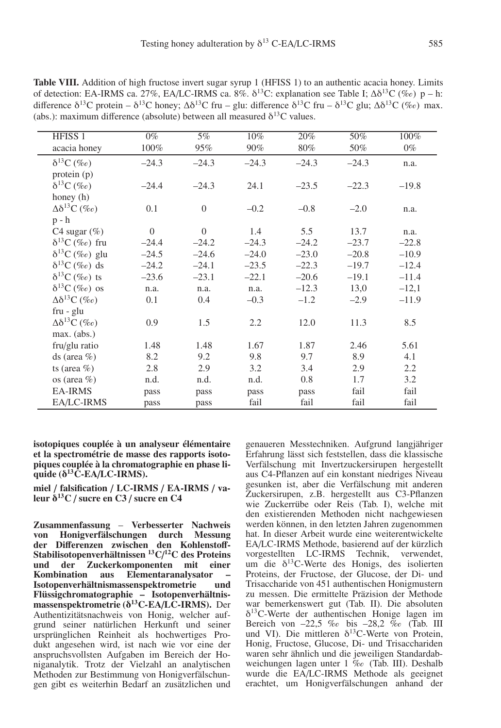| HFISS <sub>1</sub>          | $0\%$    | 5%       | 10%     | 20%     | 50%     | 100%    |
|-----------------------------|----------|----------|---------|---------|---------|---------|
| acacia honey                | 100%     | 95%      | $90\%$  | $80\%$  | 50%     | $0\%$   |
| $\delta^{13}C$ (%o)         | $-24.3$  | $-24.3$  | $-24.3$ | $-24.3$ | $-24.3$ | n.a.    |
| protein (p)                 |          |          |         |         |         |         |
| $\delta^{13}C$ (%o)         | $-24.4$  | $-24.3$  | 24.1    | $-23.5$ | $-22.3$ | $-19.8$ |
| honey (h)                   |          |          |         |         |         |         |
| $\Delta\delta^{13}C$ (%o)   | 0.1      | $\Omega$ | $-0.2$  | $-0.8$  | $-2.0$  | n.a.    |
| $p - h$                     |          |          |         |         |         |         |
| C <sub>4</sub> sugar $(\%)$ | $\Omega$ | $\Omega$ | 1.4     | 5.5     | 13.7    | n.a.    |
| $\delta^{13}C$ (%o) fru     | $-24.4$  | $-24.2$  | $-24.3$ | $-24.2$ | $-23.7$ | $-22.8$ |
| $\delta^{13}C$ (%o) glu     | $-24.5$  | $-24.6$  | $-24.0$ | $-23.0$ | $-20.8$ | $-10.9$ |
| $\delta^{13}C$ (%o) ds      | $-24.2$  | $-24.1$  | $-23.5$ | $-22.3$ | $-19.7$ | $-12.4$ |
| $\delta^{13}C$ (%o) ts      | $-23.6$  | $-23.1$  | $-22.1$ | $-20.6$ | $-19.1$ | $-11.4$ |
| $\delta^{13}C$ (%e) os      | n.a.     | n.a.     | n.a.    | $-12.3$ | 13,0    | $-12,1$ |
| $\Delta\delta^{13}C$ (%o)   | 0.1      | 0.4      | $-0.3$  | $-1.2$  | $-2.9$  | $-11.9$ |
| $fru - glu$                 |          |          |         |         |         |         |
| $\Delta\delta^{13}C$ (%o)   | 0.9      | 1.5      | 2.2     | 12.0    | 11.3    | 8.5     |
| max. (abs.)                 |          |          |         |         |         |         |
| fru/glu ratio               | 1.48     | 1.48     | 1.67    | 1.87    | 2.46    | 5.61    |
| ds (area $%$ )              | 8.2      | 9.2      | 9.8     | 9.7     | 8.9     | 4.1     |
| ts (area $%$ )              | 2.8      | 2.9      | 3.2     | 3.4     | 2.9     | 2.2     |
| os (area $%$ )              | n.d.     | n.d.     | n.d.    | 0.8     | 1.7     | 3.2     |
| <b>EA-IRMS</b>              | pass     | pass     | pass    | pass    | fail    | fail    |
| EA/LC-IRMS                  | pass     | pass     | fail    | fail    | fail    | fail    |

Table VIII. Addition of high fructose invert sugar syrup 1 (HFISS 1) to an authentic acacia honey. Limits of detection: EA-IRMS ca. 27%, EA/LC-IRMS ca. 8%.  $\delta^{13}$ C: explanation see Table I; Δ $\delta^{13}$ C (‰) p – h: difference  $\delta^{13}C$  protein –  $\delta^{13}C$  honey;  $\Delta \delta^{13}C$  fru – glu: difference  $\delta^{13}C$  fru –  $\delta^{13}C$  glu;  $\Delta \delta^{13}C$  (‰) max. (abs.): maximum difference (absolute) between all measured  $\delta^{13}C$  values.

**isotopiques couplée à un analyseur élémentaire et la spectrométrie de masse des rapports isotopiques couplée à la chromatographie en phase li** $q$ uide ( $\delta^{13}$ C-EA/LC-IRMS).

**miel** / **falsification** / **LC-IRMS** / **EA-IRMS** / **valeur** δ**13C** / **sucre en C3** / **sucre en C4**

**Zusammenfassung** – **Verbesserter Nachweis von Honigverfälschungen durch Messung der Di**ff**erenzen zwischen den Kohlensto**ff**-Stabilisotopenverhältnissen 13C**/ **12C des Proteins und der Zuckerkomponenten mit einer Kombination aus Elementaranalysator – Isotopenverhältnismassenspektrometrie Flüssigchromatographie – Isotopenverhältnismassenspektrometrie (**δ**13C***-***EA**/**LC-IRMS).** Der Authentizitätsnachweis von Honig, welcher aufgrund seiner natürlichen Herkunft und seiner ursprünglichen Reinheit als hochwertiges Produkt angesehen wird, ist nach wie vor eine der anspruchsvollsten Aufgaben im Bereich der Honiganalytik. Trotz der Vielzahl an analytischen Methoden zur Bestimmung von Honigverfälschungen gibt es weiterhin Bedarf an zusätzlichen und genaueren Messtechniken. Aufgrund langjähriger Erfahrung lässt sich feststellen, dass die klassische Verfälschung mit Invertzuckersirupen hergestellt aus C4-Pflanzen auf ein konstant niedriges Niveau gesunken ist, aber die Verfälschung mit anderen Zuckersirupen, z.B. hergestellt aus C3-Pflanzen wie Zuckerrübe oder Reis (Tab. I), welche mit den existierenden Methoden nicht nachgewiesen werden können, in den letzten Jahren zugenommen hat. In dieser Arbeit wurde eine weiterentwickelte EA/LC-IRMS Methode, basierend auf der kürzlich vorgestellten LC-IRMS Technik, verwendet, um die  $\delta^{13}$ C-Werte des Honigs, des isolierten Proteins, der Fructose, der Glucose, der Di- und Trisaccharide von 451 authentischen Honigmustern zu messen. Die ermittelte Präzision der Methode war bemerkenswert gut (Tab. II). Die absoluten  $\delta^{13}$ C-Werte der authentischen Honige lagen im Bereich von  $-22.5$  ‰ bis  $-28.2$  ‰ (Tab. III und VI). Die mittleren  $\delta^{13}$ C-Werte von Protein, Honig, Fructose, Glucose, Di- und Trisacchariden waren sehr ähnlich und die jeweiligen Standardabweichungen lagen unter 1 ‰ (Tab. III). Deshalb wurde die EA/LC-IRMS Methode als geeignet erachtet, um Honigverfälschungen anhand der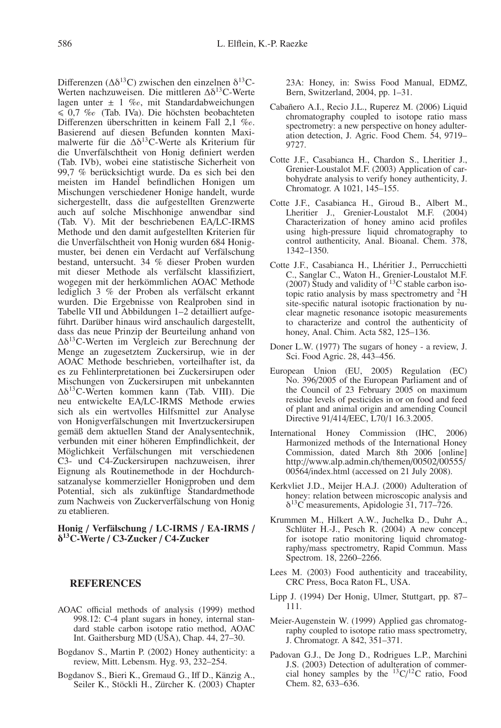Differenzen ( $Δδ<sup>13</sup>C$ ) zwischen den einzelnen δ<sup>13</sup>C-Werten nachzuweisen. Die mittleren Δδ13C-Werte lagen unter  $\pm$  1 % $\circ$ , mit Standardabweichungen  $\leq 0.7$  ‰ (Tab. IVa). Die höchsten beobachteten Differenzen überschritten in keinem Fall  $2,1\%$ o. Basierend auf diesen Befunden konnten Maximalwerte für die  $\Delta\delta^{13}$ C-Werte als Kriterium für die Unverfälschtheit von Honig definiert werden (Tab. IVb), wobei eine statistische Sicherheit von 99,7 % berücksichtigt wurde. Da es sich bei den meisten im Handel befindlichen Honigen um Mischungen verschiedener Honige handelt, wurde sichergestellt, dass die aufgestellten Grenzwerte auch auf solche Mischhonige anwendbar sind (Tab. V). Mit der beschriebenen EA/LC-IRMS Methode und den damit aufgestellten Kriterien für die Unverfälschtheit von Honig wurden 684 Honigmuster, bei denen ein Verdacht auf Verfälschung bestand, untersucht. 34 % dieser Proben wurden mit dieser Methode als verfälscht klassifiziert, wogegen mit der herkömmlichen AOAC Methode lediglich 3 % der Proben als verfälscht erkannt wurden. Die Ergebnisse von Realproben sind in Tabelle VII und Abbildungen 1–2 detailliert aufgeführt. Darüber hinaus wird anschaulich dargestellt, dass das neue Prinzip der Beurteilung anhand von Δδ13C-Werten im Vergleich zur Berechnung der Menge an zugesetztem Zuckersirup, wie in der AOAC Methode beschrieben, vorteilhafter ist, da es zu Fehlinterpretationen bei Zuckersirupen oder Mischungen von Zuckersirupen mit unbekannten Δδ13C-Werten kommen kann (Tab. VIII). Die neu entwickelte EA/LC-IRMS Methode erwies sich als ein wertvolles Hilfsmittel zur Analyse von Honigverfälschungen mit Invertzuckersirupen gemäß dem aktuellen Stand der Analysentechnik, verbunden mit einer höheren Empfindlichkeit, der Möglichkeit Verfälschungen mit verschiedenen C3- und C4-Zuckersirupen nachzuweisen, ihrer Eignung als Routinemethode in der Hochdurchsatzanalyse kommerzieller Honigproben und dem Potential, sich als zukünftige Standardmethode zum Nachweis von Zuckerverfälschung von Honig zu etablieren.

#### **Honig** / **Verfälschung** / **LC-IRMS** / **EA-IRMS** / δ**13C-Werte** / **C3-Zucker** / **C4-Zucker**

#### **REFERENCES**

- AOAC official methods of analysis (1999) method 998.12: C-4 plant sugars in honey, internal standard stable carbon isotope ratio method, AOAC Int. Gaithersburg MD (USA), Chap. 44, 27–30.
- Bogdanov S., Martin P. (2002) Honey authenticity: a review, Mitt. Lebensm. Hyg. 93, 232–254.
- Bogdanov S., Bieri K., Gremaud G., Iff D., Känzig A., Seiler K., Stöckli H., Zürcher K. (2003) Chapter

23A: Honey, in: Swiss Food Manual, EDMZ, Bern, Switzerland, 2004, pp. 1–31.

- Cabañero A.I., Recio J.L., Ruperez M. (2006) Liquid chromatography coupled to isotope ratio mass spectrometry: a new perspective on honey adulteration detection, J. Agric. Food Chem. 54, 9719– 9727.
- Cotte J.F., Casabianca H., Chardon S., Lheritier J., Grenier-Loustalot M.F. (2003) Application of carbohydrate analysis to verify honey authenticity, J. Chromatogr. A 1021, 145–155.
- Cotte J.F., Casabianca H., Giroud B., Albert M., Lheritier J., Grenier-Loustalot M.F. (2004) Characterization of honey amino acid profiles using high-pressure liquid chromatography to control authenticity, Anal. Bioanal. Chem. 378, 1342–1350.
- Cotte J.F., Casabianca H., Lhéritier J., Perrucchietti C., Sanglar C., Waton H., Grenier-Loustalot M.F. (2007) Study and validity of  $^{13}$ C stable carbon isotopic ratio analysis by mass spectrometry and 2H site-specific natural isotopic fractionation by nuclear magnetic resonance isotopic measurements to characterize and control the authenticity of honey, Anal. Chim. Acta 582, 125–136.
- Doner L.W. (1977) The sugars of honey a review, J. Sci. Food Agric. 28, 443–456.
- European Union (EU, 2005) Regulation (EC) No. 396/2005 of the European Parliament and of the Council of 23 February 2005 on maximum residue levels of pesticides in or on food and feed of plant and animal origin and amending Council Directive 91/414/EEC, L70/1 16.3.2005.
- International Honey Commission (IHC, 2006) Harmonized methods of the International Honey Commission, dated March 8th 2006 [online] http://www.alp.admin.ch/themen/00502/00555/ 00564/index.html (accessed on 21 July 2008).
- Kerkvliet J.D., Meijer H.A.J. (2000) Adulteration of honey: relation between microscopic analysis and  $\delta^{13}$ C measurements, Apidologie 31, 717–726.
- Krummen M., Hilkert A.W., Juchelka D., Duhr A., Schlüter H.-J., Pesch R. (2004) A new concept for isotope ratio monitoring liquid chromatography/mass spectrometry, Rapid Commun. Mass Spectrom. 18, 2260–2266.
- Lees M. (2003) Food authenticity and traceability, CRC Press, Boca Raton FL, USA.
- Lipp J. (1994) Der Honig, Ulmer, Stuttgart, pp. 87– 111.
- Meier-Augenstein W. (1999) Applied gas chromatography coupled to isotope ratio mass spectrometry, J. Chromatogr. A 842, 351–371.
- Padovan G.J., De Jong D., Rodrigues L.P., Marchini J.S. (2003) Detection of adulteration of commercial honey samples by the  $^{13}C/^{12}C$  ratio, Food Chem. 82, 633–636.